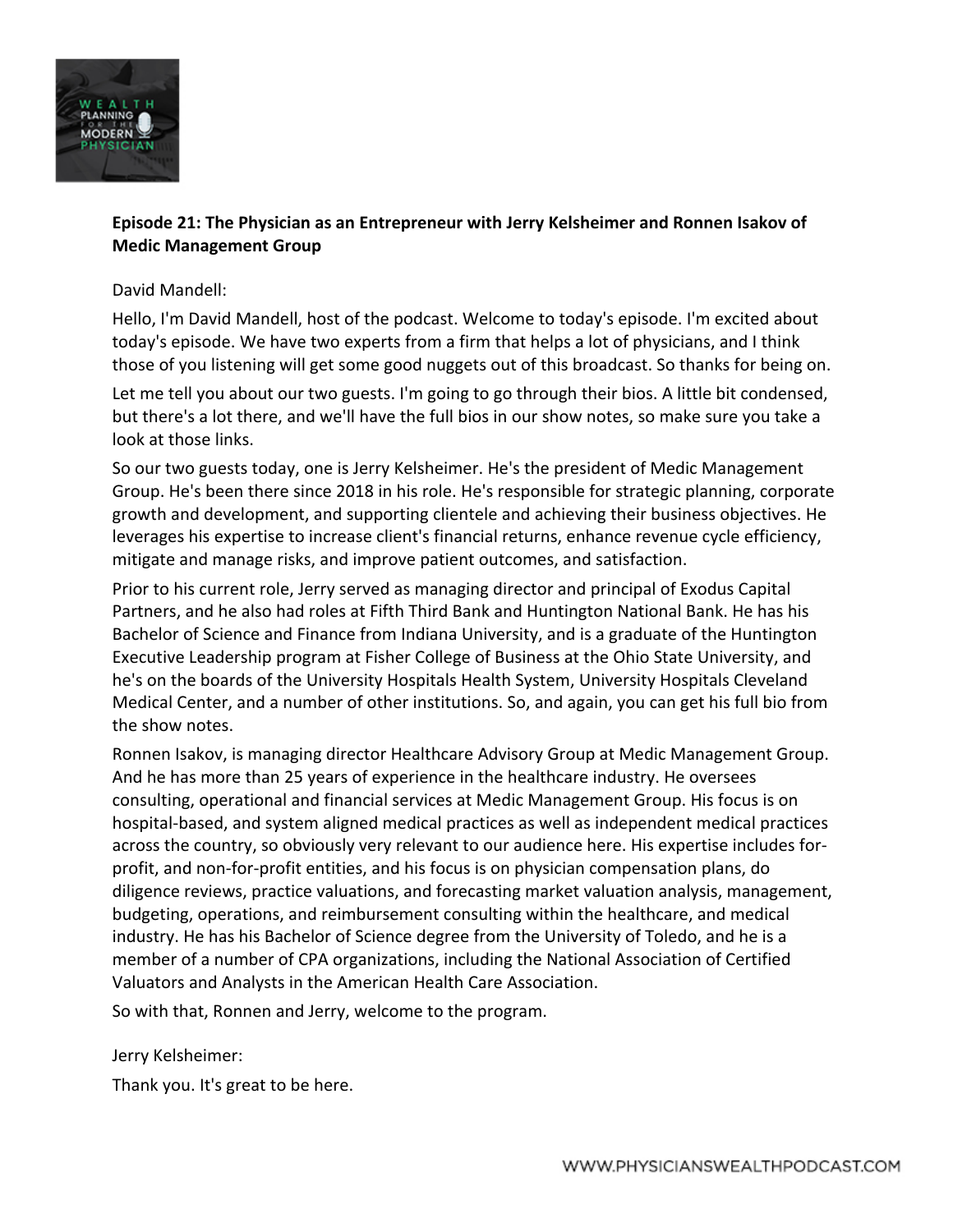

# **Episode 21: The Physician as an Entrepreneur with Jerry Kelsheimer and Ronnen Isakov of Medic Management Group**

### David Mandell:

Hello, I'm David Mandell, host of the podcast. Welcome to today's episode. I'm excited about today's episode. We have two experts from a firm that helps a lot of physicians, and I think those of you listening will get some good nuggets out of this broadcast. So thanks for being on.

Let me tell you about our two guests. I'm going to go through their bios. A little bit condensed, but there's a lot there, and we'll have the full bios in our show notes, so make sure you take a look at those links.

So our two guests today, one is Jerry Kelsheimer. He's the president of Medic Management Group. He's been there since 2018 in his role. He's responsible for strategic planning, corporate growth and development, and supporting clientele and achieving their business objectives. He leverages his expertise to increase client's financial returns, enhance revenue cycle efficiency, mitigate and manage risks, and improve patient outcomes, and satisfaction.

Prior to his current role, Jerry served as managing director and principal of Exodus Capital Partners, and he also had roles at Fifth Third Bank and Huntington National Bank. He has his Bachelor of Science and Finance from Indiana University, and is a graduate of the Huntington Executive Leadership program at Fisher College of Business at the Ohio State University, and he's on the boards of the University Hospitals Health System, University Hospitals Cleveland Medical Center, and a number of other institutions. So, and again, you can get his full bio from the show notes.

Ronnen Isakov, is managing director Healthcare Advisory Group at Medic Management Group. And he has more than 25 years of experience in the healthcare industry. He oversees consulting, operational and financial services at Medic Management Group. His focus is on hospital-based, and system aligned medical practices as well as independent medical practices across the country, so obviously very relevant to our audience here. His expertise includes forprofit, and non-for-profit entities, and his focus is on physician compensation plans, do diligence reviews, practice valuations, and forecasting market valuation analysis, management, budgeting, operations, and reimbursement consulting within the healthcare, and medical industry. He has his Bachelor of Science degree from the University of Toledo, and he is a member of a number of CPA organizations, including the National Association of Certified Valuators and Analysts in the American Health Care Association.

So with that, Ronnen and Jerry, welcome to the program.

Jerry Kelsheimer:

Thank you. It's great to be here.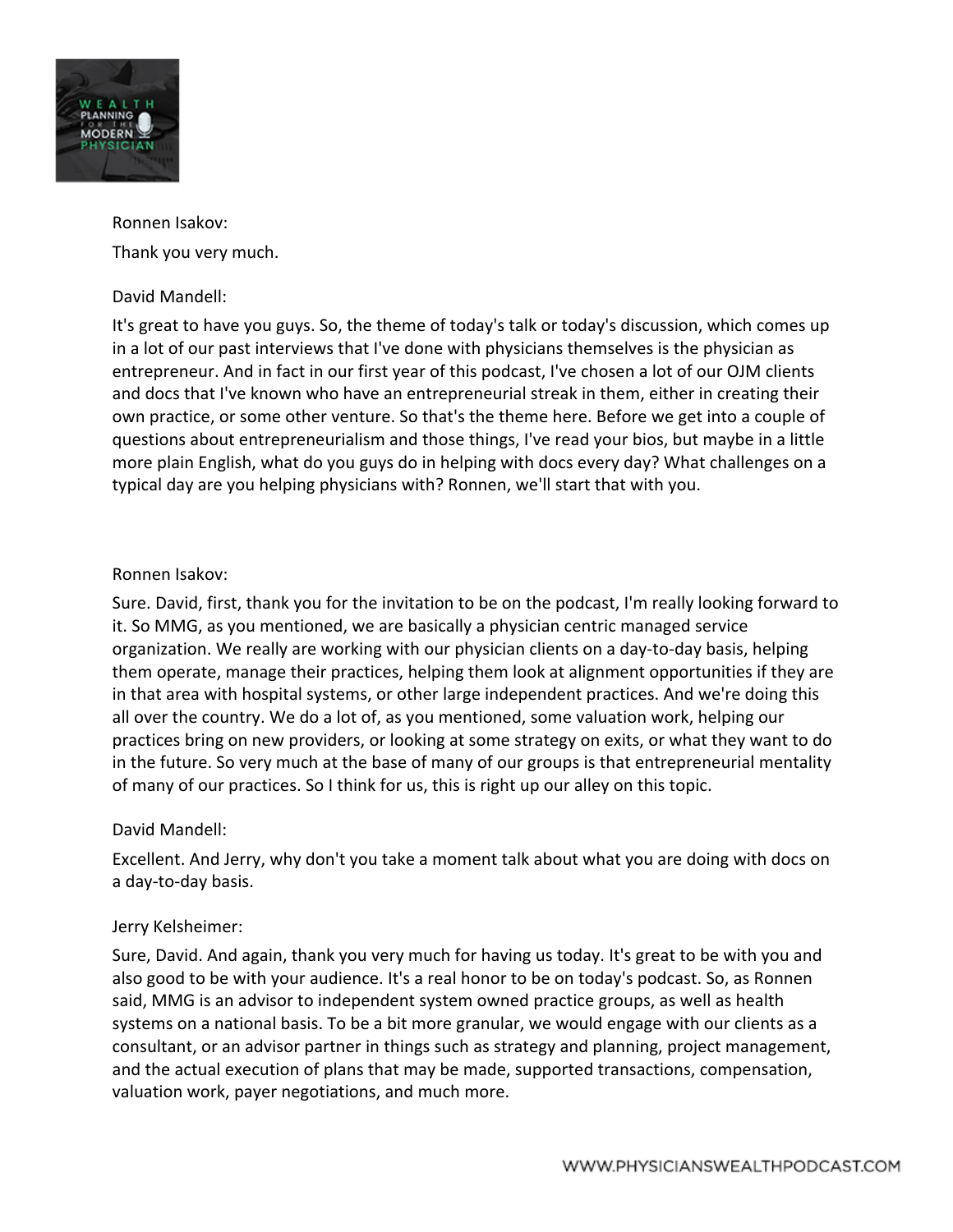

Ronnen Isakov: Thank you very much.

## David Mandell:

It's great to have you guys. So, the theme of today's talk or today's discussion, which comes up in a lot of our past interviews that I've done with physicians themselves is the physician as entrepreneur. And in fact in our first year of this podcast, I've chosen a lot of our OJM clients and docs that I've known who have an entrepreneurial streak in them, either in creating their own practice, or some other venture. So that's the theme here. Before we get into a couple of questions about entrepreneurialism and those things, I've read your bios, but maybe in a little more plain English, what do you guys do in helping with docs every day? What challenges on a typical day are you helping physicians with? Ronnen, we'll start that with you.

## Ronnen Isakov:

Sure. David, first, thank you for the invitation to be on the podcast, I'm really looking forward to it. So MMG, as you mentioned, we are basically a physician centric managed service organization. We really are working with our physician clients on a day-to-day basis, helping them operate, manage their practices, helping them look at alignment opportunities if they are in that area with hospital systems, or other large independent practices. And we're doing this all over the country. We do a lot of, as you mentioned, some valuation work, helping our practices bring on new providers, or looking at some strategy on exits, or what they want to do in the future. So very much at the base of many of our groups is that entrepreneurial mentality of many of our practices. So I think for us, this is right up our alley on this topic.

## David Mandell:

Excellent. And Jerry, why don't you take a moment talk about what you are doing with docs on a day-to-day basis.

#### Jerry Kelsheimer:

Sure, David. And again, thank you very much for having us today. It's great to be with you and also good to be with your audience. It's a real honor to be on today's podcast. So, as Ronnen said, MMG is an advisor to independent system owned practice groups, as well as health systems on a national basis. To be a bit more granular, we would engage with our clients as a consultant, or an advisor partner in things such as strategy and planning, project management, and the actual execution of plans that may be made, supported transactions, compensation, valuation work, payer negotiations, and much more.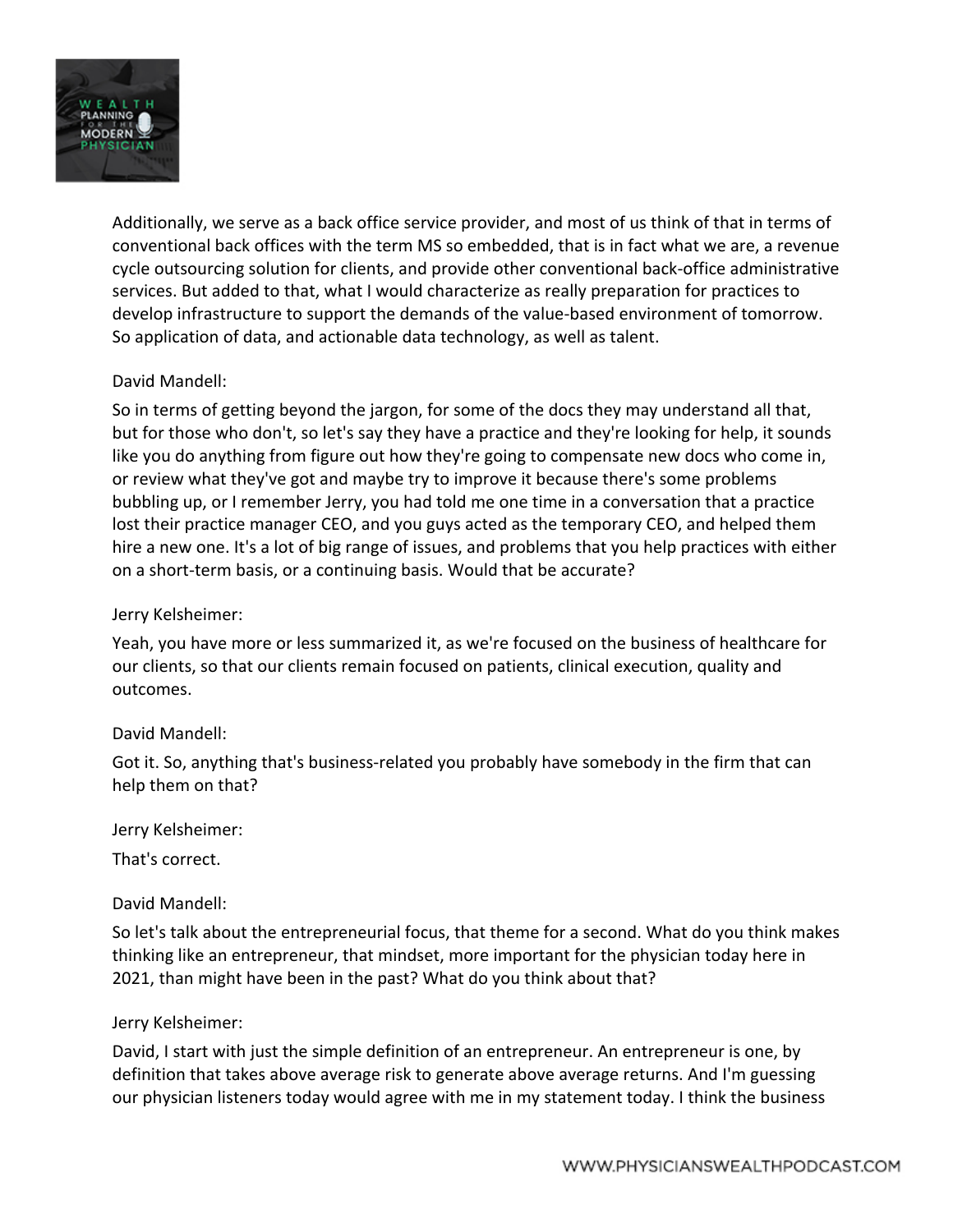

Additionally, we serve as a back office service provider, and most of us think of that in terms of conventional back offices with the term MS so embedded, that is in fact what we are, a revenue cycle outsourcing solution for clients, and provide other conventional back-office administrative services. But added to that, what I would characterize as really preparation for practices to develop infrastructure to support the demands of the value-based environment of tomorrow. So application of data, and actionable data technology, as well as talent.

## David Mandell:

So in terms of getting beyond the jargon, for some of the docs they may understand all that, but for those who don't, so let's say they have a practice and they're looking for help, it sounds like you do anything from figure out how they're going to compensate new docs who come in, or review what they've got and maybe try to improve it because there's some problems bubbling up, or I remember Jerry, you had told me one time in a conversation that a practice lost their practice manager CEO, and you guys acted as the temporary CEO, and helped them hire a new one. It's a lot of big range of issues, and problems that you help practices with either on a short-term basis, or a continuing basis. Would that be accurate?

#### Jerry Kelsheimer:

Yeah, you have more or less summarized it, as we're focused on the business of healthcare for our clients, so that our clients remain focused on patients, clinical execution, quality and outcomes.

#### David Mandell:

Got it. So, anything that's business-related you probably have somebody in the firm that can help them on that?

Jerry Kelsheimer:

That's correct.

## David Mandell:

So let's talk about the entrepreneurial focus, that theme for a second. What do you think makes thinking like an entrepreneur, that mindset, more important for the physician today here in 2021, than might have been in the past? What do you think about that?

#### Jerry Kelsheimer:

David, I start with just the simple definition of an entrepreneur. An entrepreneur is one, by definition that takes above average risk to generate above average returns. And I'm guessing our physician listeners today would agree with me in my statement today. I think the business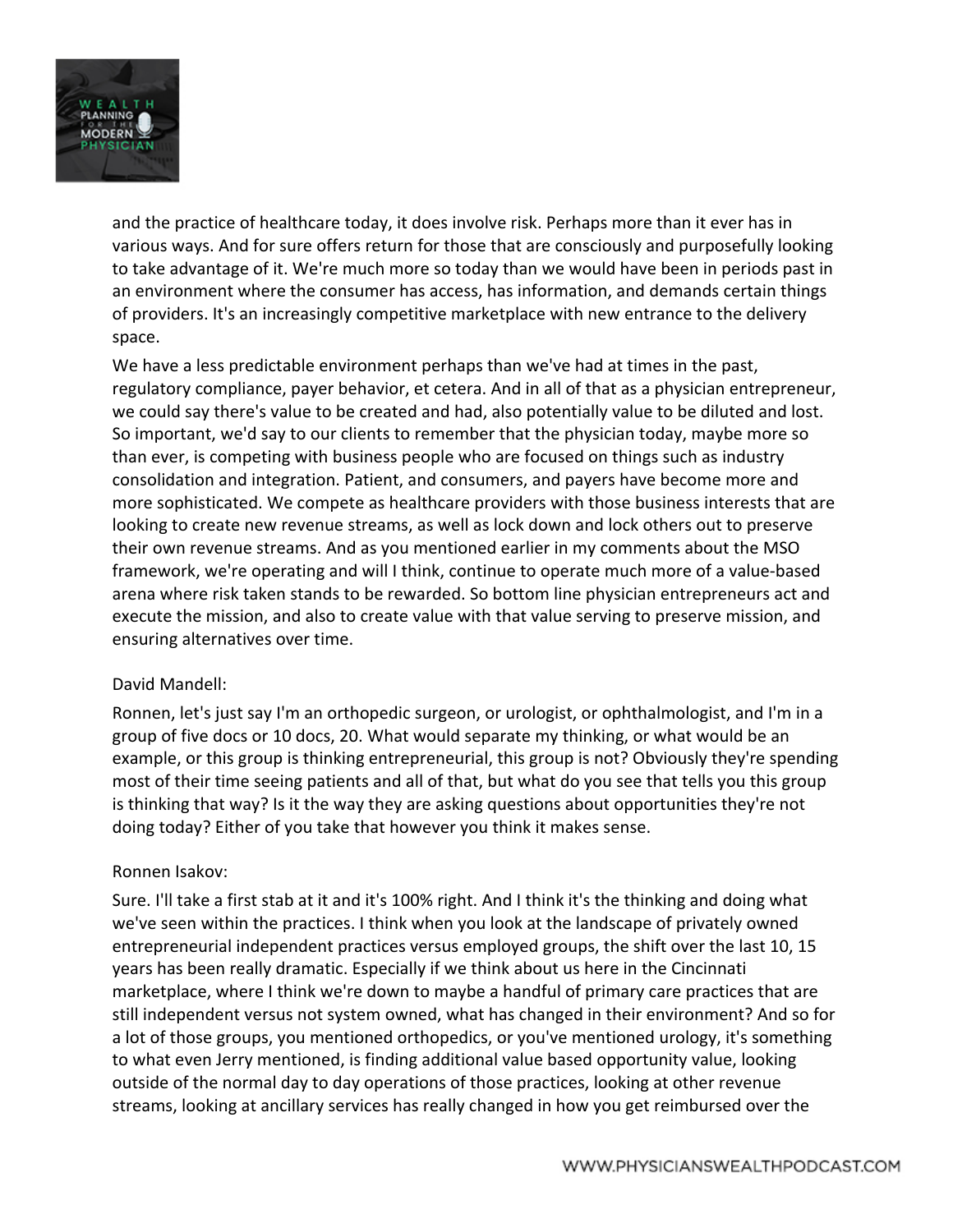

and the practice of healthcare today, it does involve risk. Perhaps more than it ever has in various ways. And for sure offers return for those that are consciously and purposefully looking to take advantage of it. We're much more so today than we would have been in periods past in an environment where the consumer has access, has information, and demands certain things of providers. It's an increasingly competitive marketplace with new entrance to the delivery space.

We have a less predictable environment perhaps than we've had at times in the past, regulatory compliance, payer behavior, et cetera. And in all of that as a physician entrepreneur, we could say there's value to be created and had, also potentially value to be diluted and lost. So important, we'd say to our clients to remember that the physician today, maybe more so than ever, is competing with business people who are focused on things such as industry consolidation and integration. Patient, and consumers, and payers have become more and more sophisticated. We compete as healthcare providers with those business interests that are looking to create new revenue streams, as well as lock down and lock others out to preserve their own revenue streams. And as you mentioned earlier in my comments about the MSO framework, we're operating and will I think, continue to operate much more of a value-based arena where risk taken stands to be rewarded. So bottom line physician entrepreneurs act and execute the mission, and also to create value with that value serving to preserve mission, and ensuring alternatives over time.

#### David Mandell:

Ronnen, let's just say I'm an orthopedic surgeon, or urologist, or ophthalmologist, and I'm in a group of five docs or 10 docs, 20. What would separate my thinking, or what would be an example, or this group is thinking entrepreneurial, this group is not? Obviously they're spending most of their time seeing patients and all of that, but what do you see that tells you this group is thinking that way? Is it the way they are asking questions about opportunities they're not doing today? Either of you take that however you think it makes sense.

#### Ronnen Isakov:

Sure. I'll take a first stab at it and it's 100% right. And I think it's the thinking and doing what we've seen within the practices. I think when you look at the landscape of privately owned entrepreneurial independent practices versus employed groups, the shift over the last 10, 15 years has been really dramatic. Especially if we think about us here in the Cincinnati marketplace, where I think we're down to maybe a handful of primary care practices that are still independent versus not system owned, what has changed in their environment? And so for a lot of those groups, you mentioned orthopedics, or you've mentioned urology, it's something to what even Jerry mentioned, is finding additional value based opportunity value, looking outside of the normal day to day operations of those practices, looking at other revenue streams, looking at ancillary services has really changed in how you get reimbursed over the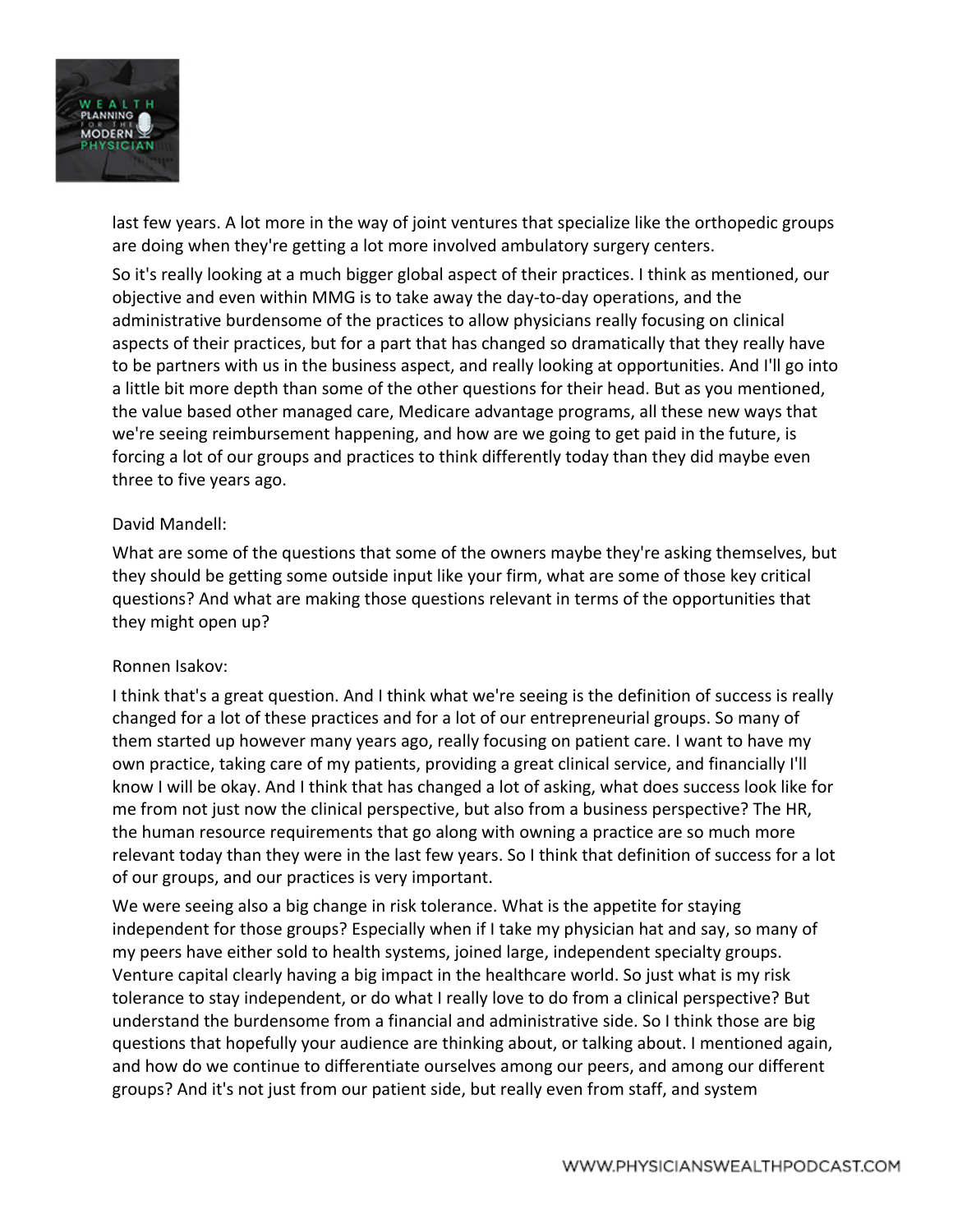

last few years. A lot more in the way of joint ventures that specialize like the orthopedic groups are doing when they're getting a lot more involved ambulatory surgery centers.

So it's really looking at a much bigger global aspect of their practices. I think as mentioned, our objective and even within MMG is to take away the day-to-day operations, and the administrative burdensome of the practices to allow physicians really focusing on clinical aspects of their practices, but for a part that has changed so dramatically that they really have to be partners with us in the business aspect, and really looking at opportunities. And I'll go into a little bit more depth than some of the other questions for their head. But as you mentioned, the value based other managed care, Medicare advantage programs, all these new ways that we're seeing reimbursement happening, and how are we going to get paid in the future, is forcing a lot of our groups and practices to think differently today than they did maybe even three to five years ago.

## David Mandell:

What are some of the questions that some of the owners maybe they're asking themselves, but they should be getting some outside input like your firm, what are some of those key critical questions? And what are making those questions relevant in terms of the opportunities that they might open up?

#### Ronnen Isakov:

I think that's a great question. And I think what we're seeing is the definition of success is really changed for a lot of these practices and for a lot of our entrepreneurial groups. So many of them started up however many years ago, really focusing on patient care. I want to have my own practice, taking care of my patients, providing a great clinical service, and financially I'll know I will be okay. And I think that has changed a lot of asking, what does success look like for me from not just now the clinical perspective, but also from a business perspective? The HR, the human resource requirements that go along with owning a practice are so much more relevant today than they were in the last few years. So I think that definition of success for a lot of our groups, and our practices is very important.

We were seeing also a big change in risk tolerance. What is the appetite for staying independent for those groups? Especially when if I take my physician hat and say, so many of my peers have either sold to health systems, joined large, independent specialty groups. Venture capital clearly having a big impact in the healthcare world. So just what is my risk tolerance to stay independent, or do what I really love to do from a clinical perspective? But understand the burdensome from a financial and administrative side. So I think those are big questions that hopefully your audience are thinking about, or talking about. I mentioned again, and how do we continue to differentiate ourselves among our peers, and among our different groups? And it's not just from our patient side, but really even from staff, and system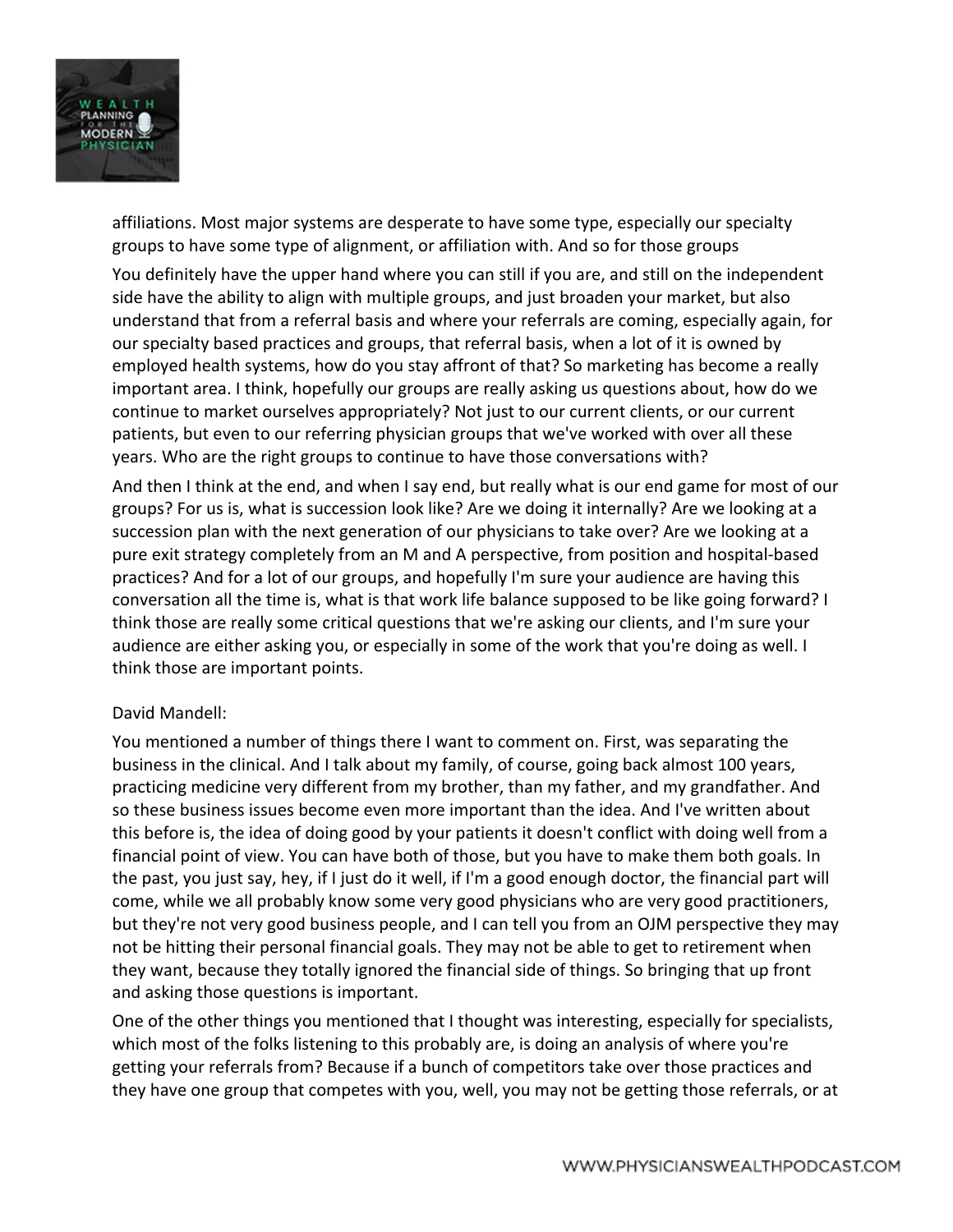

affiliations. Most major systems are desperate to have some type, especially our specialty groups to have some type of alignment, or affiliation with. And so for those groups

You definitely have the upper hand where you can still if you are, and still on the independent side have the ability to align with multiple groups, and just broaden your market, but also understand that from a referral basis and where your referrals are coming, especially again, for our specialty based practices and groups, that referral basis, when a lot of it is owned by employed health systems, how do you stay affront of that? So marketing has become a really important area. I think, hopefully our groups are really asking us questions about, how do we continue to market ourselves appropriately? Not just to our current clients, or our current patients, but even to our referring physician groups that we've worked with over all these years. Who are the right groups to continue to have those conversations with?

And then I think at the end, and when I say end, but really what is our end game for most of our groups? For us is, what is succession look like? Are we doing it internally? Are we looking at a succession plan with the next generation of our physicians to take over? Are we looking at a pure exit strategy completely from an M and A perspective, from position and hospital-based practices? And for a lot of our groups, and hopefully I'm sure your audience are having this conversation all the time is, what is that work life balance supposed to be like going forward? I think those are really some critical questions that we're asking our clients, and I'm sure your audience are either asking you, or especially in some of the work that you're doing as well. I think those are important points.

#### David Mandell:

You mentioned a number of things there I want to comment on. First, was separating the business in the clinical. And I talk about my family, of course, going back almost 100 years, practicing medicine very different from my brother, than my father, and my grandfather. And so these business issues become even more important than the idea. And I've written about this before is, the idea of doing good by your patients it doesn't conflict with doing well from a financial point of view. You can have both of those, but you have to make them both goals. In the past, you just say, hey, if I just do it well, if I'm a good enough doctor, the financial part will come, while we all probably know some very good physicians who are very good practitioners, but they're not very good business people, and I can tell you from an OJM perspective they may not be hitting their personal financial goals. They may not be able to get to retirement when they want, because they totally ignored the financial side of things. So bringing that up front and asking those questions is important.

One of the other things you mentioned that I thought was interesting, especially for specialists, which most of the folks listening to this probably are, is doing an analysis of where you're getting your referrals from? Because if a bunch of competitors take over those practices and they have one group that competes with you, well, you may not be getting those referrals, or at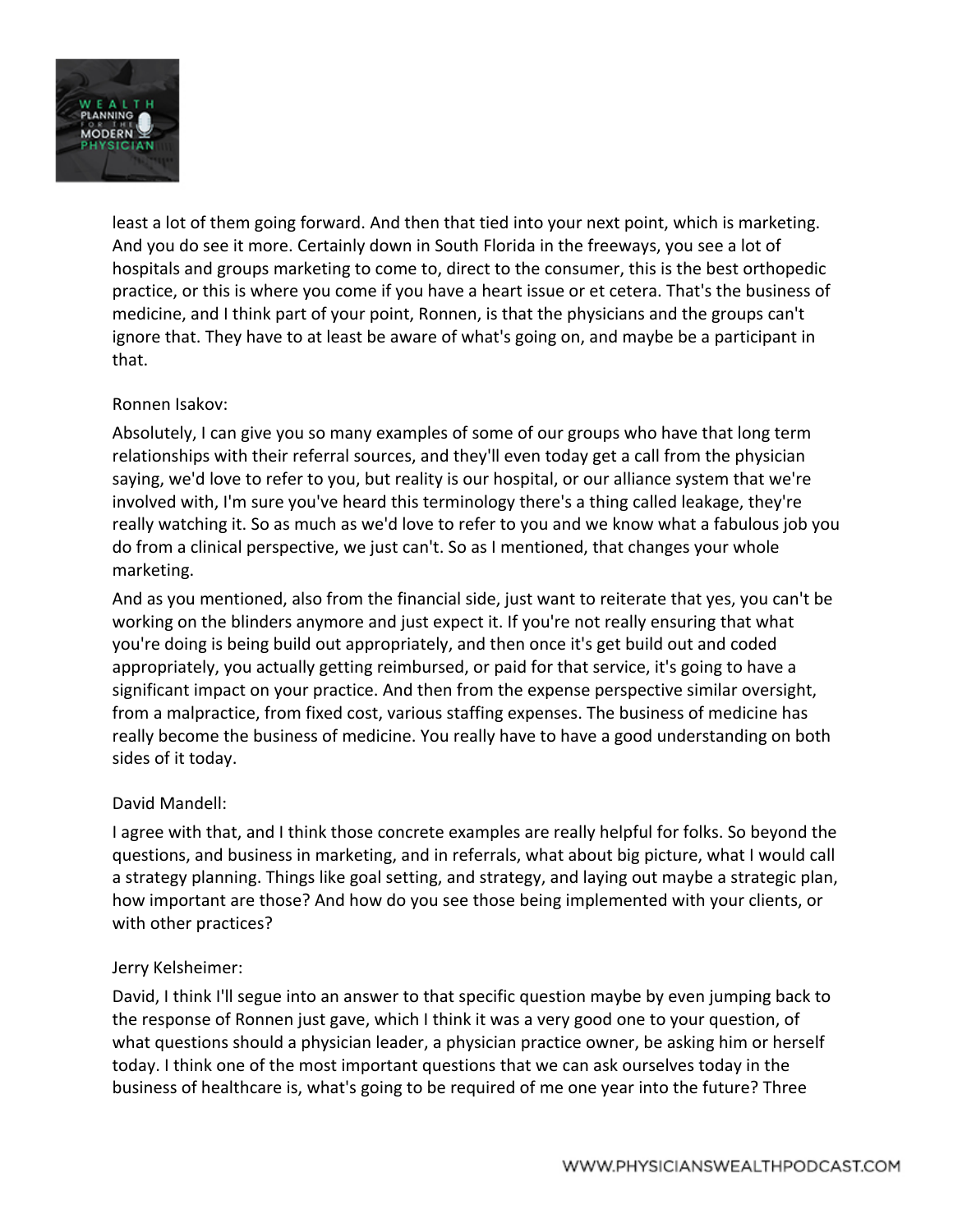

least a lot of them going forward. And then that tied into your next point, which is marketing. And you do see it more. Certainly down in South Florida in the freeways, you see a lot of hospitals and groups marketing to come to, direct to the consumer, this is the best orthopedic practice, or this is where you come if you have a heart issue or et cetera. That's the business of medicine, and I think part of your point, Ronnen, is that the physicians and the groups can't ignore that. They have to at least be aware of what's going on, and maybe be a participant in that.

## Ronnen Isakov:

Absolutely, I can give you so many examples of some of our groups who have that long term relationships with their referral sources, and they'll even today get a call from the physician saying, we'd love to refer to you, but reality is our hospital, or our alliance system that we're involved with, I'm sure you've heard this terminology there's a thing called leakage, they're really watching it. So as much as we'd love to refer to you and we know what a fabulous job you do from a clinical perspective, we just can't. So as I mentioned, that changes your whole marketing.

And as you mentioned, also from the financial side, just want to reiterate that yes, you can't be working on the blinders anymore and just expect it. If you're not really ensuring that what you're doing is being build out appropriately, and then once it's get build out and coded appropriately, you actually getting reimbursed, or paid for that service, it's going to have a significant impact on your practice. And then from the expense perspective similar oversight, from a malpractice, from fixed cost, various staffing expenses. The business of medicine has really become the business of medicine. You really have to have a good understanding on both sides of it today.

#### David Mandell:

I agree with that, and I think those concrete examples are really helpful for folks. So beyond the questions, and business in marketing, and in referrals, what about big picture, what I would call a strategy planning. Things like goal setting, and strategy, and laying out maybe a strategic plan, how important are those? And how do you see those being implemented with your clients, or with other practices?

#### Jerry Kelsheimer:

David, I think I'll segue into an answer to that specific question maybe by even jumping back to the response of Ronnen just gave, which I think it was a very good one to your question, of what questions should a physician leader, a physician practice owner, be asking him or herself today. I think one of the most important questions that we can ask ourselves today in the business of healthcare is, what's going to be required of me one year into the future? Three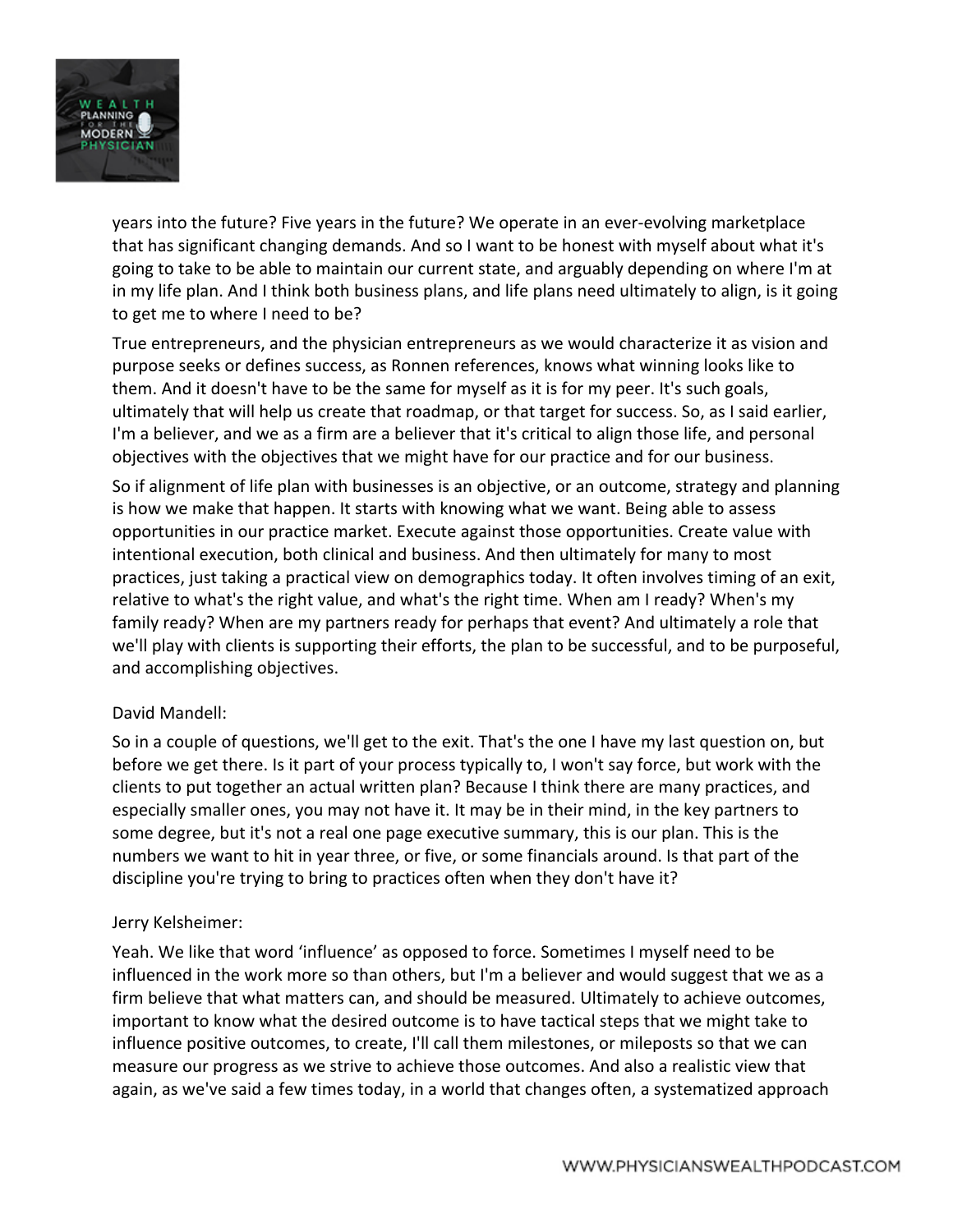

years into the future? Five years in the future? We operate in an ever-evolving marketplace that has significant changing demands. And so I want to be honest with myself about what it's going to take to be able to maintain our current state, and arguably depending on where I'm at in my life plan. And I think both business plans, and life plans need ultimately to align, is it going to get me to where I need to be?

True entrepreneurs, and the physician entrepreneurs as we would characterize it as vision and purpose seeks or defines success, as Ronnen references, knows what winning looks like to them. And it doesn't have to be the same for myself as it is for my peer. It's such goals, ultimately that will help us create that roadmap, or that target for success. So, as I said earlier, I'm a believer, and we as a firm are a believer that it's critical to align those life, and personal objectives with the objectives that we might have for our practice and for our business.

So if alignment of life plan with businesses is an objective, or an outcome, strategy and planning is how we make that happen. It starts with knowing what we want. Being able to assess opportunities in our practice market. Execute against those opportunities. Create value with intentional execution, both clinical and business. And then ultimately for many to most practices, just taking a practical view on demographics today. It often involves timing of an exit, relative to what's the right value, and what's the right time. When am I ready? When's my family ready? When are my partners ready for perhaps that event? And ultimately a role that we'll play with clients is supporting their efforts, the plan to be successful, and to be purposeful, and accomplishing objectives.

#### David Mandell:

So in a couple of questions, we'll get to the exit. That's the one I have my last question on, but before we get there. Is it part of your process typically to, I won't say force, but work with the clients to put together an actual written plan? Because I think there are many practices, and especially smaller ones, you may not have it. It may be in their mind, in the key partners to some degree, but it's not a real one page executive summary, this is our plan. This is the numbers we want to hit in year three, or five, or some financials around. Is that part of the discipline you're trying to bring to practices often when they don't have it?

#### Jerry Kelsheimer:

Yeah. We like that word 'influence' as opposed to force. Sometimes I myself need to be influenced in the work more so than others, but I'm a believer and would suggest that we as a firm believe that what matters can, and should be measured. Ultimately to achieve outcomes, important to know what the desired outcome is to have tactical steps that we might take to influence positive outcomes, to create, I'll call them milestones, or mileposts so that we can measure our progress as we strive to achieve those outcomes. And also a realistic view that again, as we've said a few times today, in a world that changes often, a systematized approach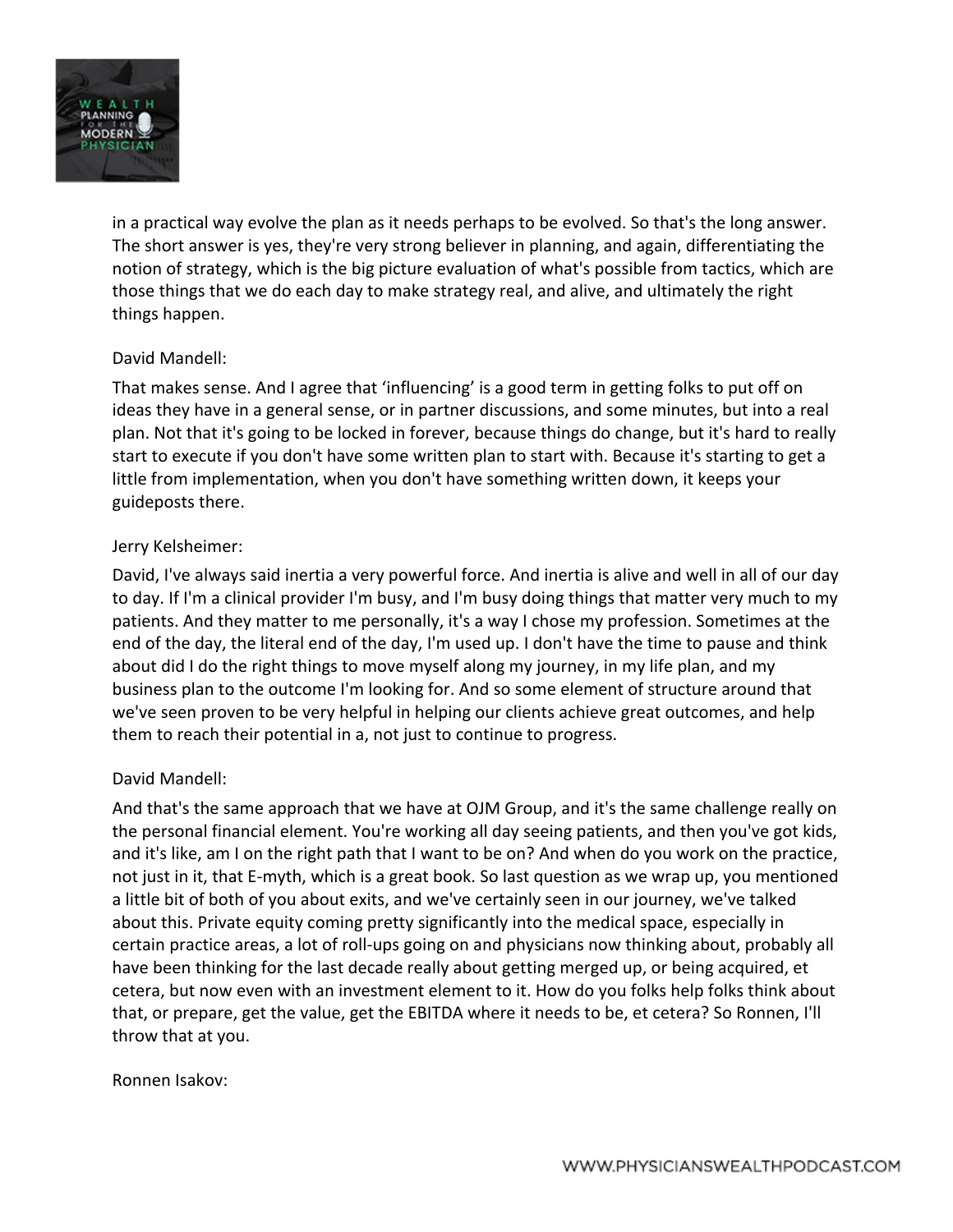

in a practical way evolve the plan as it needs perhaps to be evolved. So that's the long answer. The short answer is yes, they're very strong believer in planning, and again, differentiating the notion of strategy, which is the big picture evaluation of what's possible from tactics, which are those things that we do each day to make strategy real, and alive, and ultimately the right things happen.

## David Mandell:

That makes sense. And I agree that 'influencing' is a good term in getting folks to put off on ideas they have in a general sense, or in partner discussions, and some minutes, but into a real plan. Not that it's going to be locked in forever, because things do change, but it's hard to really start to execute if you don't have some written plan to start with. Because it's starting to get a little from implementation, when you don't have something written down, it keeps your guideposts there.

## Jerry Kelsheimer:

David, I've always said inertia a very powerful force. And inertia is alive and well in all of our day to day. If I'm a clinical provider I'm busy, and I'm busy doing things that matter very much to my patients. And they matter to me personally, it's a way I chose my profession. Sometimes at the end of the day, the literal end of the day, I'm used up. I don't have the time to pause and think about did I do the right things to move myself along my journey, in my life plan, and my business plan to the outcome I'm looking for. And so some element of structure around that we've seen proven to be very helpful in helping our clients achieve great outcomes, and help them to reach their potential in a, not just to continue to progress.

## David Mandell:

And that's the same approach that we have at OJM Group, and it's the same challenge really on the personal financial element. You're working all day seeing patients, and then you've got kids, and it's like, am I on the right path that I want to be on? And when do you work on the practice, not just in it, that E-myth, which is a great book. So last question as we wrap up, you mentioned a little bit of both of you about exits, and we've certainly seen in our journey, we've talked about this. Private equity coming pretty significantly into the medical space, especially in certain practice areas, a lot of roll-ups going on and physicians now thinking about, probably all have been thinking for the last decade really about getting merged up, or being acquired, et cetera, but now even with an investment element to it. How do you folks help folks think about that, or prepare, get the value, get the EBITDA where it needs to be, et cetera? So Ronnen, I'll throw that at you.

#### Ronnen Isakov: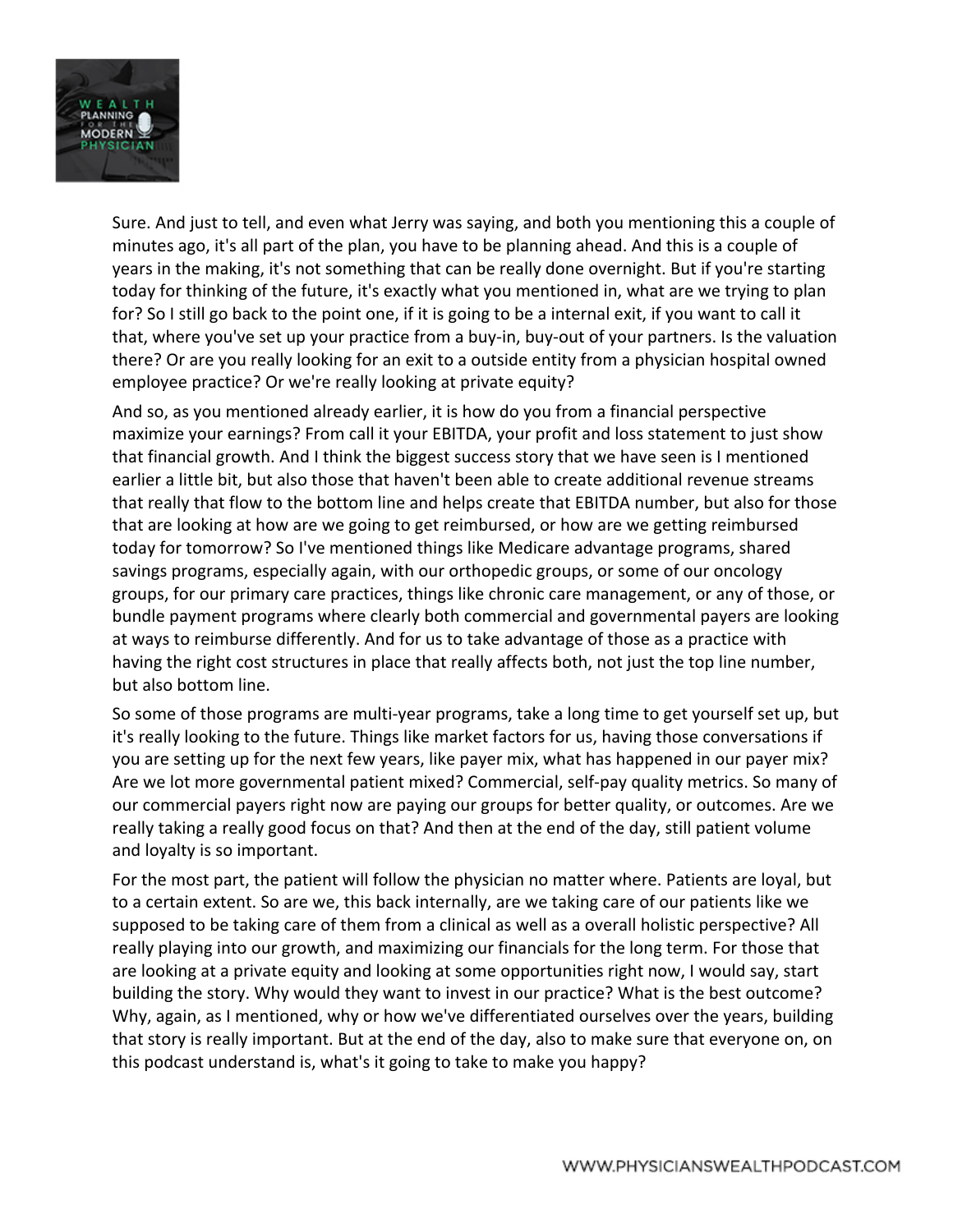

Sure. And just to tell, and even what Jerry was saying, and both you mentioning this a couple of minutes ago, it's all part of the plan, you have to be planning ahead. And this is a couple of years in the making, it's not something that can be really done overnight. But if you're starting today for thinking of the future, it's exactly what you mentioned in, what are we trying to plan for? So I still go back to the point one, if it is going to be a internal exit, if you want to call it that, where you've set up your practice from a buy-in, buy-out of your partners. Is the valuation there? Or are you really looking for an exit to a outside entity from a physician hospital owned employee practice? Or we're really looking at private equity?

And so, as you mentioned already earlier, it is how do you from a financial perspective maximize your earnings? From call it your EBITDA, your profit and loss statement to just show that financial growth. And I think the biggest success story that we have seen is I mentioned earlier a little bit, but also those that haven't been able to create additional revenue streams that really that flow to the bottom line and helps create that EBITDA number, but also for those that are looking at how are we going to get reimbursed, or how are we getting reimbursed today for tomorrow? So I've mentioned things like Medicare advantage programs, shared savings programs, especially again, with our orthopedic groups, or some of our oncology groups, for our primary care practices, things like chronic care management, or any of those, or bundle payment programs where clearly both commercial and governmental payers are looking at ways to reimburse differently. And for us to take advantage of those as a practice with having the right cost structures in place that really affects both, not just the top line number, but also bottom line.

So some of those programs are multi-year programs, take a long time to get yourself set up, but it's really looking to the future. Things like market factors for us, having those conversations if you are setting up for the next few years, like payer mix, what has happened in our payer mix? Are we lot more governmental patient mixed? Commercial, self-pay quality metrics. So many of our commercial payers right now are paying our groups for better quality, or outcomes. Are we really taking a really good focus on that? And then at the end of the day, still patient volume and loyalty is so important.

For the most part, the patient will follow the physician no matter where. Patients are loyal, but to a certain extent. So are we, this back internally, are we taking care of our patients like we supposed to be taking care of them from a clinical as well as a overall holistic perspective? All really playing into our growth, and maximizing our financials for the long term. For those that are looking at a private equity and looking at some opportunities right now, I would say, start building the story. Why would they want to invest in our practice? What is the best outcome? Why, again, as I mentioned, why or how we've differentiated ourselves over the years, building that story is really important. But at the end of the day, also to make sure that everyone on, on this podcast understand is, what's it going to take to make you happy?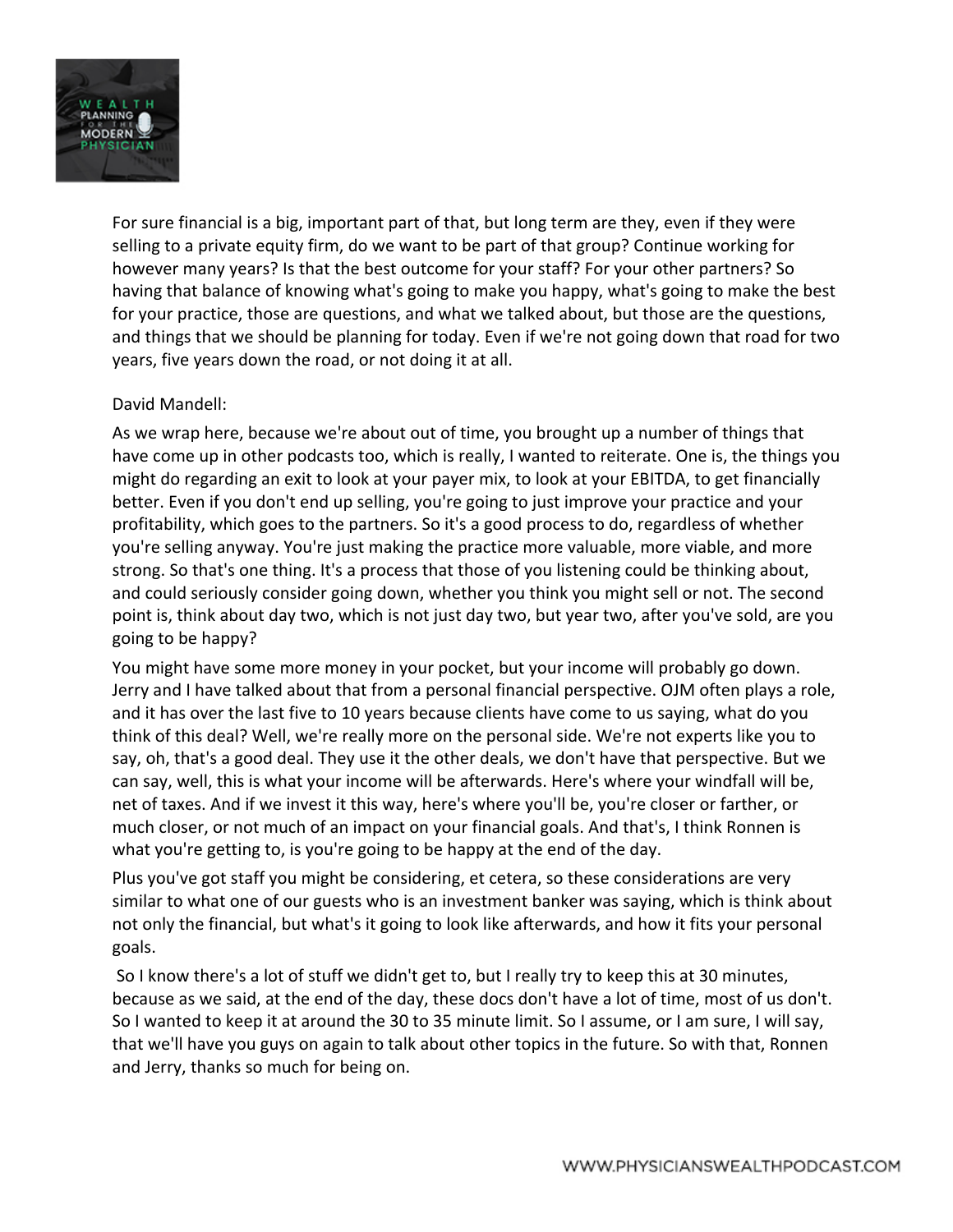

For sure financial is a big, important part of that, but long term are they, even if they were selling to a private equity firm, do we want to be part of that group? Continue working for however many years? Is that the best outcome for your staff? For your other partners? So having that balance of knowing what's going to make you happy, what's going to make the best for your practice, those are questions, and what we talked about, but those are the questions, and things that we should be planning for today. Even if we're not going down that road for two years, five years down the road, or not doing it at all.

## David Mandell:

As we wrap here, because we're about out of time, you brought up a number of things that have come up in other podcasts too, which is really, I wanted to reiterate. One is, the things you might do regarding an exit to look at your payer mix, to look at your EBITDA, to get financially better. Even if you don't end up selling, you're going to just improve your practice and your profitability, which goes to the partners. So it's a good process to do, regardless of whether you're selling anyway. You're just making the practice more valuable, more viable, and more strong. So that's one thing. It's a process that those of you listening could be thinking about, and could seriously consider going down, whether you think you might sell or not. The second point is, think about day two, which is not just day two, but year two, after you've sold, are you going to be happy?

You might have some more money in your pocket, but your income will probably go down. Jerry and I have talked about that from a personal financial perspective. OJM often plays a role, and it has over the last five to 10 years because clients have come to us saying, what do you think of this deal? Well, we're really more on the personal side. We're not experts like you to say, oh, that's a good deal. They use it the other deals, we don't have that perspective. But we can say, well, this is what your income will be afterwards. Here's where your windfall will be, net of taxes. And if we invest it this way, here's where you'll be, you're closer or farther, or much closer, or not much of an impact on your financial goals. And that's, I think Ronnen is what you're getting to, is you're going to be happy at the end of the day.

Plus you've got staff you might be considering, et cetera, so these considerations are very similar to what one of our guests who is an investment banker was saying, which is think about not only the financial, but what's it going to look like afterwards, and how it fits your personal goals.

So I know there's a lot of stuff we didn't get to, but I really try to keep this at 30 minutes, because as we said, at the end of the day, these docs don't have a lot of time, most of us don't. So I wanted to keep it at around the 30 to 35 minute limit. So I assume, or I am sure, I will say, that we'll have you guys on again to talk about other topics in the future. So with that, Ronnen and Jerry, thanks so much for being on.